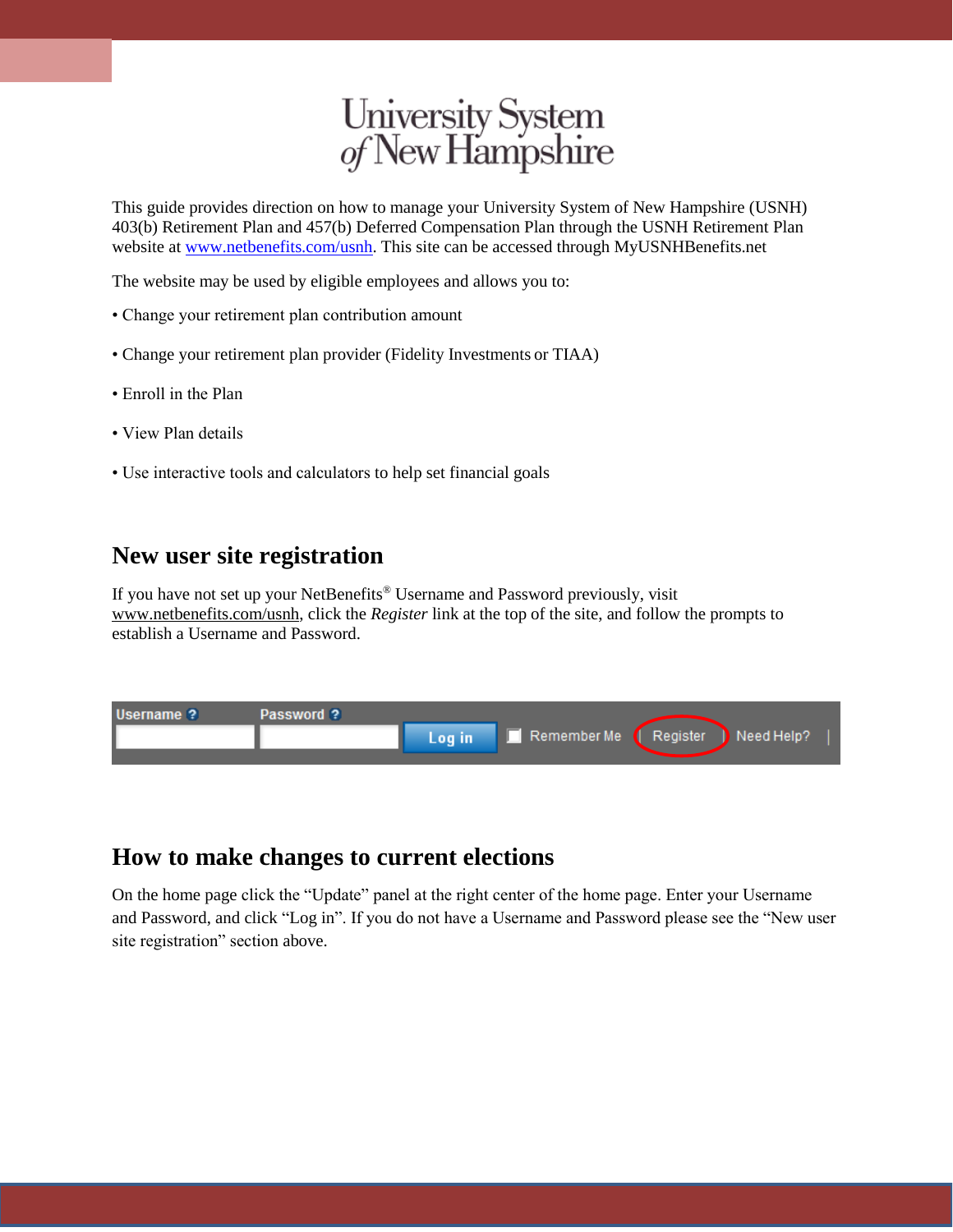# University System<br>of New Hampshire

This guide provides direction on how to manage your University System of New Hampshire (USNH) 403(b) Retirement Plan and 457(b) Deferred Compensation Plan through the USNH Retirement Plan website at [www.netbenefits.com/usnh.](http://www.netbenefits.com/usnh) This site can be accessed through MyUSNHBenefits.net

The website may be used by eligible employees and allows you to:

- Change your retirement plan contribution amount
- Change your retirement plan provider (Fidelity Investments or TIAA)
- Enroll in the Plan
- View Plan details
- Use interactive tools and calculators to help set financial goals

#### **New user site registration**

If you have not set up your NetBenefits® Username and Password previously, visit www.netbenefits.com/usnh, click the *Register* link at the top of the site, and follow the prompts to establish a Username and Password.



#### **How to make changes to current elections**

On the home page click the "Update" panel at the right center of the home page. Enter your Username and Password, and click "Log in". If you do not have a Username and Password please see the "New user site registration" section above.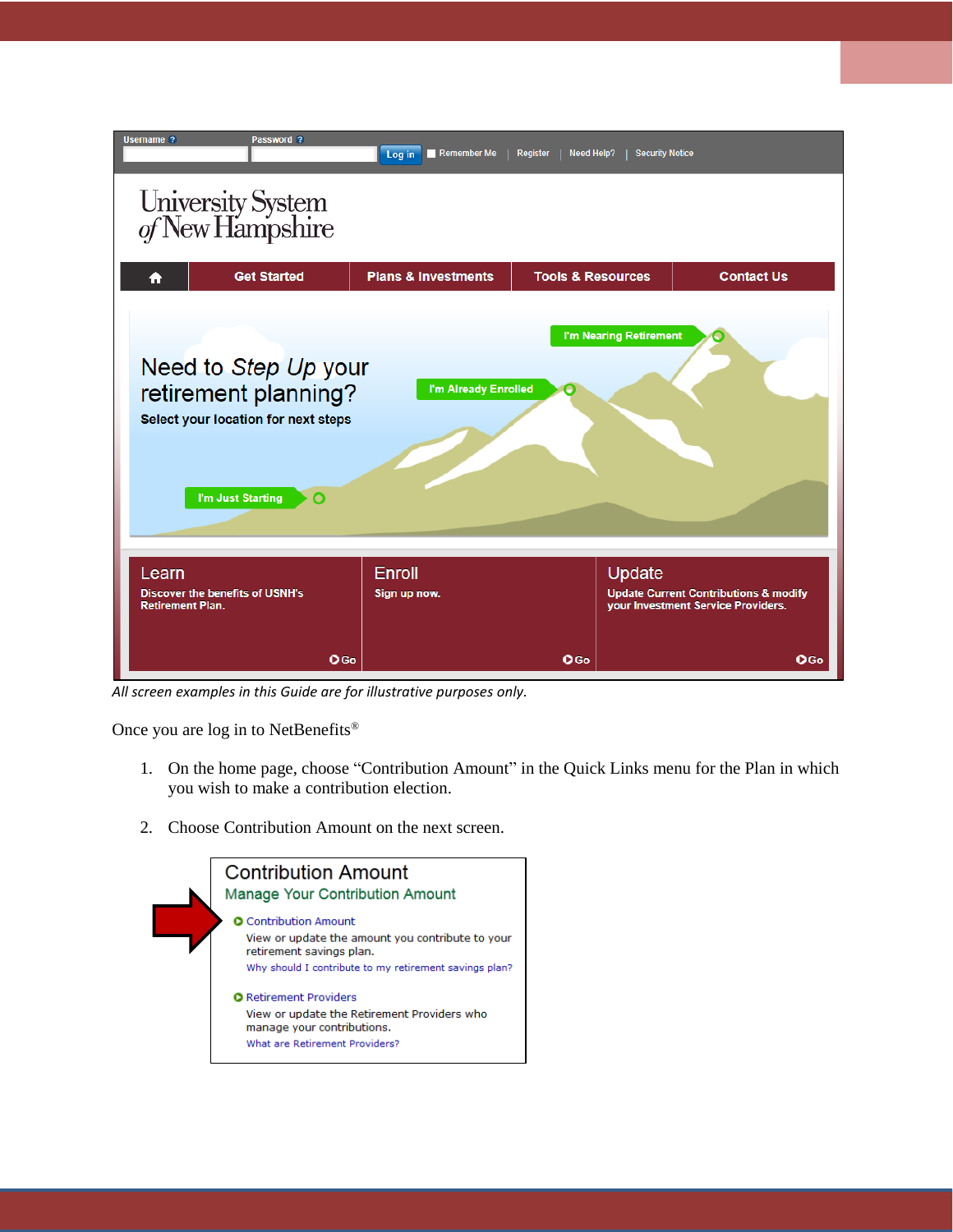

*All screen examples in this Guide are for illustrative purposes only.*

Once you are log in to NetBenefits®

- 1. On the home page, choose "Contribution Amount" in the Quick Links menu for the Plan in which you wish to make a contribution election.
- 2. Choose Contribution Amount on the next screen.

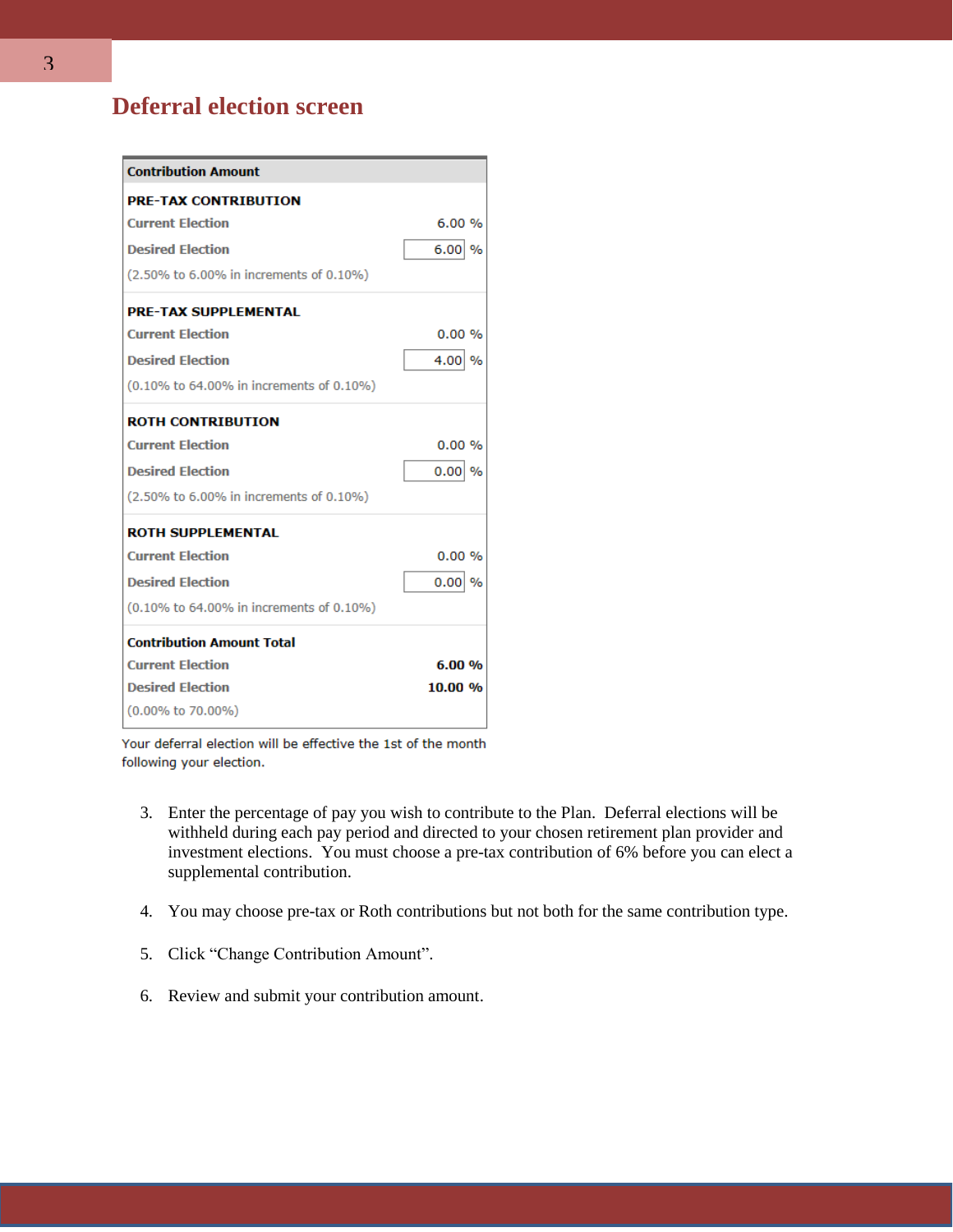## **Deferral election screen**

| <b>Contribution Amount</b>               |                       |
|------------------------------------------|-----------------------|
| <b>PRE-TAX CONTRIBUTION</b>              |                       |
| <b>Current Election</b>                  | 6.00%                 |
| <b>Desired Election</b>                  | $6.00$ %              |
| (2.50% to 6.00% in increments of 0.10%)  |                       |
| <b>PRE-TAX SUPPLEMENTAL</b>              |                       |
| <b>Current Election</b>                  | 0.00%                 |
| <b>Desired Election</b>                  | 4.00<br>$\%$          |
| (0.10% to 64.00% in increments of 0.10%) |                       |
| <b>ROTH CONTRIBUTION</b>                 |                       |
| <b>Current Election</b>                  | 0.00%                 |
| <b>Desired Election</b>                  | 0.00<br>$\frac{0}{6}$ |
| (2.50% to 6.00% in increments of 0.10%)  |                       |
| <b>ROTH SUPPLEMENTAL</b>                 |                       |
| <b>Current Election</b>                  | 0.00%                 |
| <b>Desired Election</b>                  | 0.00<br>$\%$          |
| (0.10% to 64.00% in increments of 0.10%) |                       |
| <b>Contribution Amount Total</b>         |                       |
| <b>Current Election</b>                  | 6.00%                 |
| <b>Desired Election</b>                  | 10.00 %               |
| $(0.00\% \text{ to } 70.00\%)$           |                       |

Your deferral election will be effective the 1st of the month following your election.

- 3. Enter the percentage of pay you wish to contribute to the Plan. Deferral elections will be withheld during each pay period and directed to your chosen retirement plan provider and investment elections. You must choose a pre-tax contribution of 6% before you can elect a supplemental contribution.
- 4. You may choose pre-tax or Roth contributions but not both for the same contribution type.
- 5. Click "Change Contribution Amount".
- 6. Review and submit your contribution amount.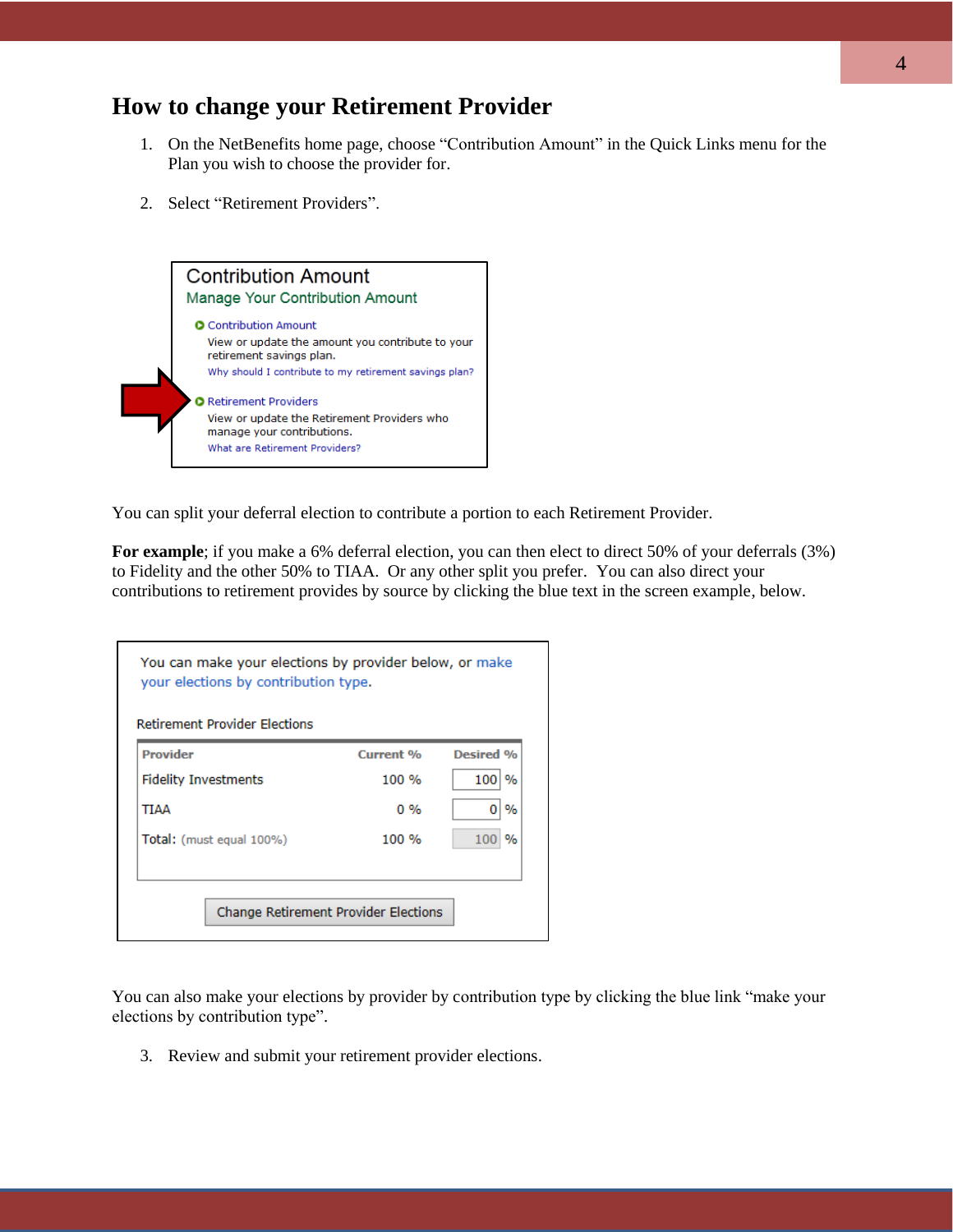## **How to change your Retirement Provider**

- 1. On the NetBenefits home page, choose "Contribution Amount" in the Quick Links menu for the Plan you wish to choose the provider for.
- 2. Select "Retirement Providers".



You can split your deferral election to contribute a portion to each Retirement Provider.

For example; if you make a 6% deferral election, you can then elect to direct 50% of your deferrals (3%) to Fidelity and the other 50% to TIAA. Or any other split you prefer. You can also direct your contributions to retirement provides by source by clicking the blue text in the screen example, below.

| <b>Retirement Provider Flections</b> |                  |           |
|--------------------------------------|------------------|-----------|
| Provider                             | <b>Current %</b> | Desired % |
| <b>Fidelity Investments</b>          | $100 \%$         | 100<br>%  |
| TIAA                                 | $0\%$            | %         |
| Total: (must equal 100%)             | 100 %            | %<br>100  |

You can also make your elections by provider by contribution type by clicking the blue link "make your elections by contribution type".

3. Review and submit your retirement provider elections.